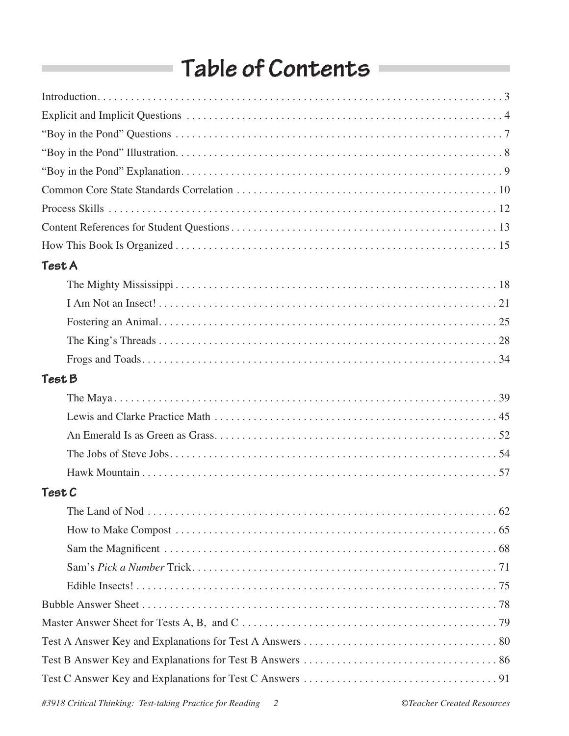## **Table of Contents**

| Test A |
|--------|
|        |
|        |
|        |
|        |
|        |
| Test B |
|        |
|        |
|        |
|        |
|        |
| Test C |
|        |
|        |
|        |
|        |
|        |
|        |
|        |
|        |
|        |
|        |
|        |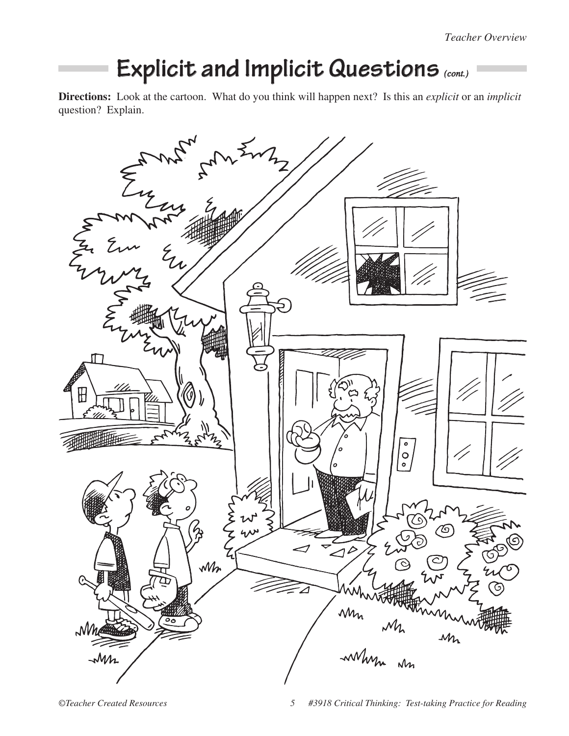# **Explicit and Implicit Questions** *(cont.)*

**Directions:** Look at the cartoon. What do you think will happen next? Is this an *explicit* or an *implicit* question? Explain.

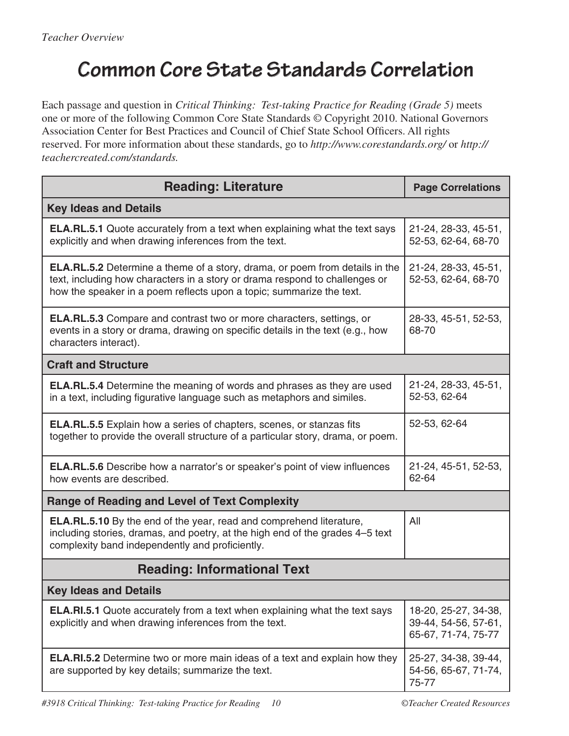#### **Common Core State Standards Correlation**

Each passage and question in *Critical Thinking: Test-taking Practice for Reading (Grade 5)* meets one or more of the following Common Core State Standards © Copyright 2010. National Governors Association Center for Best Practices and Council of Chief State School Officers. All rights reserved. For more information about these standards, go to *http://www.corestandards.org/* or *http:// teachercreated.com/standards.*

| <b>Reading: Literature</b>                                                                                                                                                                                                                | <b>Page Correlations</b>                                            |  |
|-------------------------------------------------------------------------------------------------------------------------------------------------------------------------------------------------------------------------------------------|---------------------------------------------------------------------|--|
| <b>Key Ideas and Details</b>                                                                                                                                                                                                              |                                                                     |  |
| <b>ELA.RL.5.1</b> Quote accurately from a text when explaining what the text says<br>explicitly and when drawing inferences from the text.                                                                                                | 21-24, 28-33, 45-51,<br>52-53, 62-64, 68-70                         |  |
| <b>ELA.RL.5.2</b> Determine a theme of a story, drama, or poem from details in the<br>text, including how characters in a story or drama respond to challenges or<br>how the speaker in a poem reflects upon a topic; summarize the text. | 21-24, 28-33, 45-51,<br>52-53, 62-64, 68-70                         |  |
| <b>ELA.RL.5.3</b> Compare and contrast two or more characters, settings, or<br>events in a story or drama, drawing on specific details in the text (e.g., how<br>characters interact).                                                    | 28-33, 45-51, 52-53,<br>68-70                                       |  |
| <b>Craft and Structure</b>                                                                                                                                                                                                                |                                                                     |  |
| <b>ELA.RL.5.4</b> Determine the meaning of words and phrases as they are used<br>in a text, including figurative language such as metaphors and similes.                                                                                  | 21-24, 28-33, 45-51,<br>52-53, 62-64                                |  |
| <b>ELA.RL.5.5</b> Explain how a series of chapters, scenes, or stanzas fits<br>together to provide the overall structure of a particular story, drama, or poem.                                                                           | 52-53, 62-64                                                        |  |
| <b>ELA.RL.5.6</b> Describe how a narrator's or speaker's point of view influences<br>how events are described.                                                                                                                            | 21-24, 45-51, 52-53,<br>62-64                                       |  |
| <b>Range of Reading and Level of Text Complexity</b>                                                                                                                                                                                      |                                                                     |  |
| <b>ELA.RL.5.10</b> By the end of the year, read and comprehend literature,<br>including stories, dramas, and poetry, at the high end of the grades 4-5 text<br>complexity band independently and proficiently.                            | All                                                                 |  |
| <b>Reading: Informational Text</b>                                                                                                                                                                                                        |                                                                     |  |
| <b>Key Ideas and Details</b>                                                                                                                                                                                                              |                                                                     |  |
| <b>ELA.RI.5.1</b> Quote accurately from a text when explaining what the text says<br>explicitly and when drawing inferences from the text.                                                                                                | 18-20, 25-27, 34-38,<br>39-44, 54-56, 57-61,<br>65-67, 71-74, 75-77 |  |
| <b>ELA.RI.5.2</b> Determine two or more main ideas of a text and explain how they<br>are supported by key details; summarize the text.                                                                                                    | 25-27, 34-38, 39-44,<br>54-56, 65-67, 71-74,<br>75-77               |  |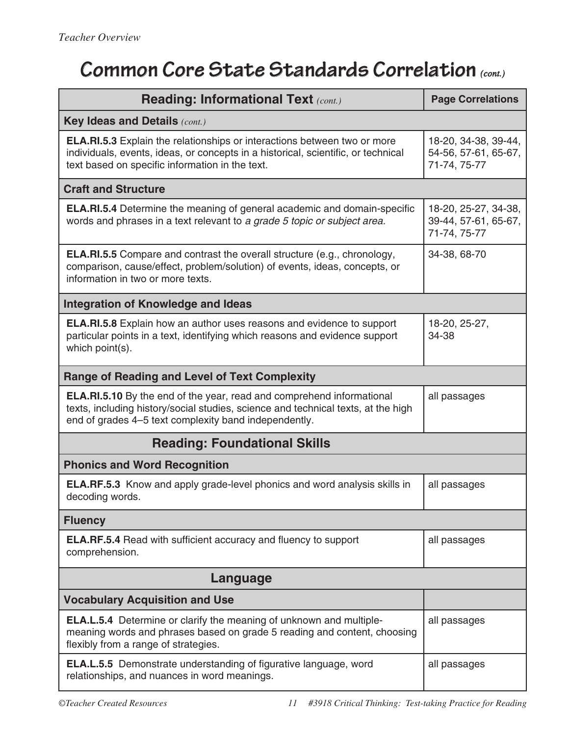#### **Common Core State Standards Correlation** *(cont.)*

| <b>Reading: Informational Text (cont.)</b>                                                                                                                                                                                 | <b>Page Correlations</b>                                     |  |
|----------------------------------------------------------------------------------------------------------------------------------------------------------------------------------------------------------------------------|--------------------------------------------------------------|--|
| <b>Key Ideas and Details (cont.)</b>                                                                                                                                                                                       |                                                              |  |
| ELA.RI.5.3 Explain the relationships or interactions between two or more<br>individuals, events, ideas, or concepts in a historical, scientific, or technical<br>text based on specific information in the text.           | 18-20, 34-38, 39-44,<br>54-56, 57-61, 65-67,<br>71-74, 75-77 |  |
| <b>Craft and Structure</b>                                                                                                                                                                                                 |                                                              |  |
| <b>ELA.RI.5.4</b> Determine the meaning of general academic and domain-specific<br>words and phrases in a text relevant to a grade 5 topic or subject area.                                                                | 18-20, 25-27, 34-38,<br>39-44, 57-61, 65-67,<br>71-74, 75-77 |  |
| <b>ELA.RI.5.5</b> Compare and contrast the overall structure (e.g., chronology,<br>comparison, cause/effect, problem/solution) of events, ideas, concepts, or<br>information in two or more texts.                         | 34-38, 68-70                                                 |  |
| <b>Integration of Knowledge and Ideas</b>                                                                                                                                                                                  |                                                              |  |
| <b>ELA.RI.5.8</b> Explain how an author uses reasons and evidence to support<br>particular points in a text, identifying which reasons and evidence support<br>which point(s).                                             | 18-20, 25-27,<br>34-38                                       |  |
| <b>Range of Reading and Level of Text Complexity</b>                                                                                                                                                                       |                                                              |  |
| <b>ELA.RI.5.10</b> By the end of the year, read and comprehend informational<br>texts, including history/social studies, science and technical texts, at the high<br>end of grades 4–5 text complexity band independently. | all passages                                                 |  |
| <b>Reading: Foundational Skills</b>                                                                                                                                                                                        |                                                              |  |
| <b>Phonics and Word Recognition</b>                                                                                                                                                                                        |                                                              |  |
| <b>ELA.RF.5.3</b> Know and apply grade-level phonics and word analysis skills in<br>decoding words.                                                                                                                        | all passages                                                 |  |
| <b>Fluency</b>                                                                                                                                                                                                             |                                                              |  |
| <b>ELA.RF.5.4</b> Read with sufficient accuracy and fluency to support<br>comprehension.                                                                                                                                   | all passages                                                 |  |
| Language                                                                                                                                                                                                                   |                                                              |  |
| <b>Vocabulary Acquisition and Use</b>                                                                                                                                                                                      |                                                              |  |
| <b>ELA.L.5.4</b> Determine or clarify the meaning of unknown and multiple-<br>meaning words and phrases based on grade 5 reading and content, choosing<br>flexibly from a range of strategies.                             | all passages                                                 |  |
| <b>ELA.L.5.5</b> Demonstrate understanding of figurative language, word<br>relationships, and nuances in word meanings.                                                                                                    | all passages                                                 |  |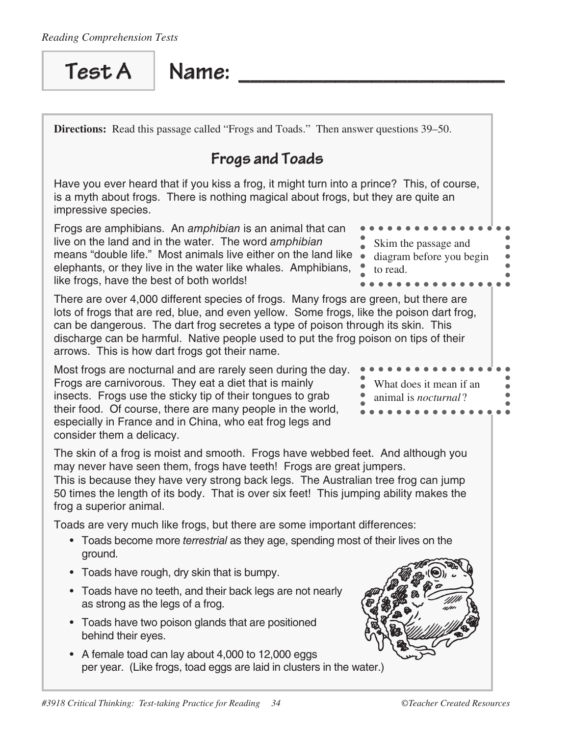### **Test A Name: \_\_\_\_\_\_\_\_\_\_\_\_\_\_\_\_\_\_\_\_\_\_**

**Directions:** Read this passage called "Frogs and Toads." Then answer questions 39–50.

#### **Frogs and Toads**

Have you ever heard that if you kiss a frog, it might turn into a prince? This, of course, is a myth about frogs. There is nothing magical about frogs, but they are quite an impressive species.

Frogs are amphibians. An *amphibian* is an animal that can live on the land and in the water. The word *amphibian* means "double life." Most animals live either on the land like elephants, or they live in the water like whales. Amphibians, like frogs, have the best of both worlds!

There are over 4,000 different species of frogs. Many frogs are green, but there are lots of frogs that are red, blue, and even yellow. Some frogs, like the poison dart frog, can be dangerous. The dart frog secretes a type of poison through its skin. This discharge can be harmful. Native people used to put the frog poison on tips of their arrows. This is how dart frogs got their name.

Most frogs are nocturnal and are rarely seen during the day. Frogs are carnivorous. They eat a diet that is mainly insects. Frogs use the sticky tip of their tongues to grab their food. Of course, there are many people in the world, especially in France and in China, who eat frog legs and consider them a delicacy.

The skin of a frog is moist and smooth. Frogs have webbed feet. And although you may never have seen them, frogs have teeth! Frogs are great jumpers. This is because they have very strong back legs. The Australian tree frog can jump 50 times the length of its body. That is over six feet! This jumping ability makes the

frog a superior animal.

Toads are very much like frogs, but there are some important differences:

- • Toads become more *terrestrial* as they age, spending most of their lives on the ground.
- Toads have rough, dry skin that is bumpy.
- Toads have no teeth, and their back legs are not nearly as strong as the legs of a frog.
- Toads have two poison glands that are positioned behind their eyes.
- A female toad can lay about 4,000 to 12,000 eggs per year. (Like frogs, toad eggs are laid in clusters in the water.)

What does it mean if an animal is *nocturnal* ?

Skim the passage and diagram before you begin

to read.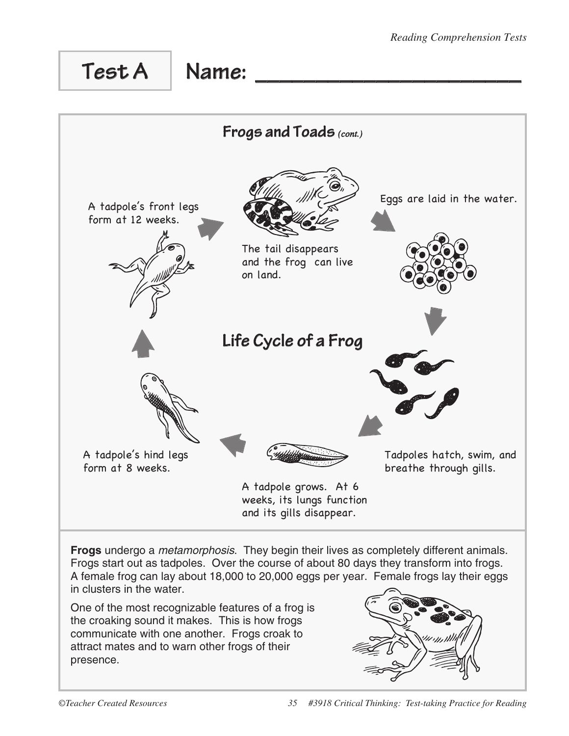

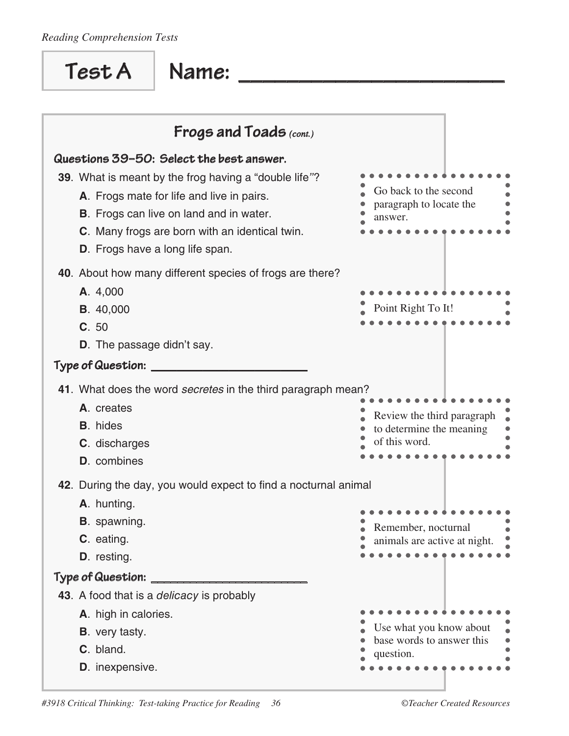**Test A Name: \_\_\_\_\_\_\_\_\_\_\_\_\_\_\_\_\_\_\_\_\_\_**

| Frogs and Toads $_{(cont.)}$                                                                                                                                                                                                                             |                                                                         |
|----------------------------------------------------------------------------------------------------------------------------------------------------------------------------------------------------------------------------------------------------------|-------------------------------------------------------------------------|
| Questions 39-50: Select the best answer.                                                                                                                                                                                                                 |                                                                         |
| 39. What is meant by the frog having a "double life"?<br>A. Frogs mate for life and live in pairs.<br><b>B</b> . Frogs can live on land and in water.<br><b>C.</b> Many frogs are born with an identical twin.<br><b>D.</b> Frogs have a long life span. | Go back to the second<br>paragraph to locate the<br>answer.             |
| 40. About how many different species of frogs are there?                                                                                                                                                                                                 |                                                                         |
| A. 4,000<br><b>B</b> . 40,000<br>C.50<br><b>D</b> . The passage didn't say.                                                                                                                                                                              | Point Right To It!                                                      |
| Type of Question: _                                                                                                                                                                                                                                      |                                                                         |
| 41. What does the word <i>secretes</i> in the third paragraph mean?<br>A. creates<br><b>B.</b> hides<br>C. discharges<br><b>D.</b> combines<br>42. During the day, you would expect to find a nocturnal animal                                           | Review the third paragraph<br>to determine the meaning<br>of this word. |
| A. hunting.<br><b>B</b> . spawning.<br>C. eating.<br>D. resting.                                                                                                                                                                                         | Remember, nocturnal<br>animals are active at night.                     |
| Type of Question:                                                                                                                                                                                                                                        |                                                                         |
| 43. A food that is a <i>delicacy</i> is probably<br>A. high in calories.<br><b>B</b> . very tasty.<br>C. bland.<br><b>D.</b> inexpensive.                                                                                                                | Use what you know about<br>base words to answer this<br>question.       |

*#3918 Critical Thinking: Test-taking Practice for Reading 36 ©Teacher Created Resources*